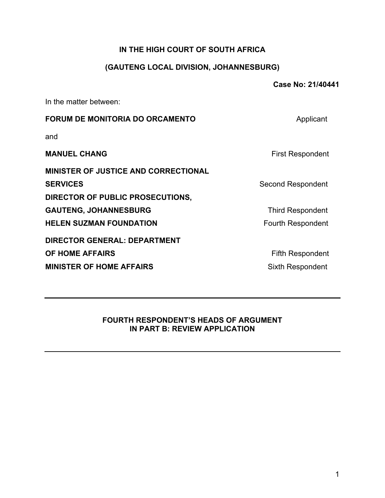### **IN THE HIGH COURT OF SOUTH AFRICA**

# **(GAUTENG LOCAL DIVISION, JOHANNESBURG)**

**Case No: 21/40441** 

In the matter between:

| <b>FORUM DE MONITORIA DO ORCAMENTO</b>      | Applicant                |
|---------------------------------------------|--------------------------|
| and                                         |                          |
| <b>MANUEL CHANG</b>                         | <b>First Respondent</b>  |
| <b>MINISTER OF JUSTICE AND CORRECTIONAL</b> |                          |
| <b>SERVICES</b>                             | Second Respondent        |
| DIRECTOR OF PUBLIC PROSECUTIONS,            |                          |
| <b>GAUTENG, JOHANNESBURG</b>                | <b>Third Respondent</b>  |
| <b>HELEN SUZMAN FOUNDATION</b>              | <b>Fourth Respondent</b> |
| <b>DIRECTOR GENERAL: DEPARTMENT</b>         |                          |
| <b>OF HOME AFFAIRS</b>                      | <b>Fifth Respondent</b>  |
| <b>MINISTER OF HOME AFFAIRS</b>             | Sixth Respondent         |
|                                             |                          |

### **FOURTH RESPONDENT'S HEADS OF ARGUMENT IN PART B: REVIEW APPLICATION**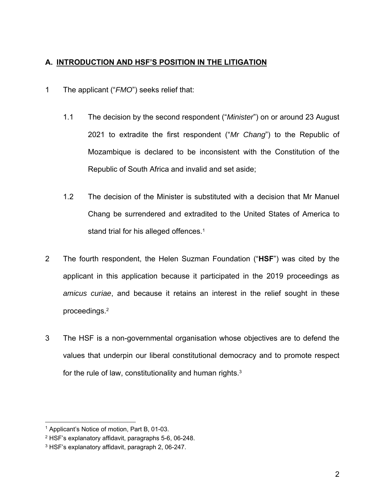### **A. INTRODUCTION AND HSF'S POSITION IN THE LITIGATION**

- 1 The applicant ("*FMO*") seeks relief that:
	- 1.1 The decision by the second respondent ("*Minister*") on or around 23 August 2021 to extradite the first respondent ("*Mr Chang*") to the Republic of Mozambique is declared to be inconsistent with the Constitution of the Republic of South Africa and invalid and set aside;
	- 1.2 The decision of the Minister is substituted with a decision that Mr Manuel Chang be surrendered and extradited to the United States of America to stand trial for his alleged offences.<sup>1</sup>
- 2 The fourth respondent, the Helen Suzman Foundation ("**HSF**") was cited by the applicant in this application because it participated in the 2019 proceedings as *amicus curiae*, and because it retains an interest in the relief sought in these proceedings.2
- 3 The HSF is a non-governmental organisation whose objectives are to defend the values that underpin our liberal constitutional democracy and to promote respect for the rule of law, constitutionality and human rights.<sup>3</sup>

<sup>1</sup> Applicant's Notice of motion, Part B, 01-03.

<sup>2</sup> HSF's explanatory affidavit, paragraphs 5-6, 06-248.

<sup>3</sup> HSF's explanatory affidavit, paragraph 2, 06-247.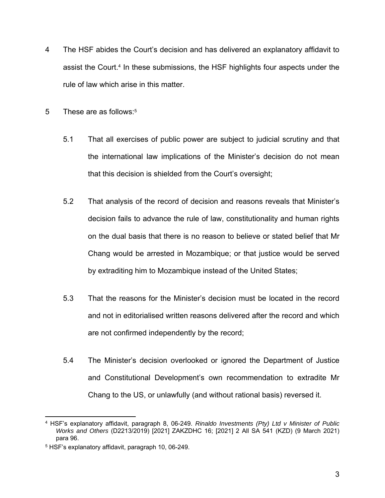- 4 The HSF abides the Court's decision and has delivered an explanatory affidavit to assist the Court.4 In these submissions, the HSF highlights four aspects under the rule of law which arise in this matter.
- 5 These are as follows:<sup>5</sup>
	- 5.1 That all exercises of public power are subject to judicial scrutiny and that the international law implications of the Minister's decision do not mean that this decision is shielded from the Court's oversight;
	- 5.2 That analysis of the record of decision and reasons reveals that Minister's decision fails to advance the rule of law, constitutionality and human rights on the dual basis that there is no reason to believe or stated belief that Mr Chang would be arrested in Mozambique; or that justice would be served by extraditing him to Mozambique instead of the United States;
	- 5.3 That the reasons for the Minister's decision must be located in the record and not in editorialised written reasons delivered after the record and which are not confirmed independently by the record;
	- 5.4 The Minister's decision overlooked or ignored the Department of Justice and Constitutional Development's own recommendation to extradite Mr Chang to the US, or unlawfully (and without rational basis) reversed it.

<sup>4</sup> HSF's explanatory affidavit, paragraph 8, 06-249. *Rinaldo Investments (Pty) Ltd v Minister of Public Works and Others* (D2213/2019) [2021] ZAKZDHC 16; [2021] 2 All SA 541 (KZD) (9 March 2021) para 96.

<sup>5</sup> HSF's explanatory affidavit, paragraph 10, 06-249.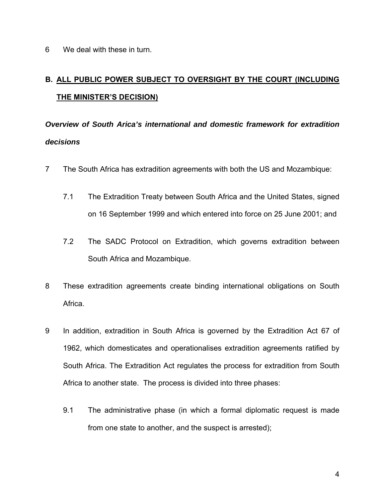6 We deal with these in turn.

# **B. ALL PUBLIC POWER SUBJECT TO OVERSIGHT BY THE COURT (INCLUDING THE MINISTER'S DECISION)**

# *Overview of South Arica's international and domestic framework for extradition decisions*

- 7 The South Africa has extradition agreements with both the US and Mozambique:
	- 7.1 The Extradition Treaty between South Africa and the United States, signed on 16 September 1999 and which entered into force on 25 June 2001; and
	- 7.2 The SADC Protocol on Extradition, which governs extradition between South Africa and Mozambique.
- 8 These extradition agreements create binding international obligations on South Africa.
- 9 In addition, extradition in South Africa is governed by the Extradition Act 67 of 1962, which domesticates and operationalises extradition agreements ratified by South Africa. The Extradition Act regulates the process for extradition from South Africa to another state. The process is divided into three phases:
	- 9.1 The administrative phase (in which a formal diplomatic request is made from one state to another, and the suspect is arrested);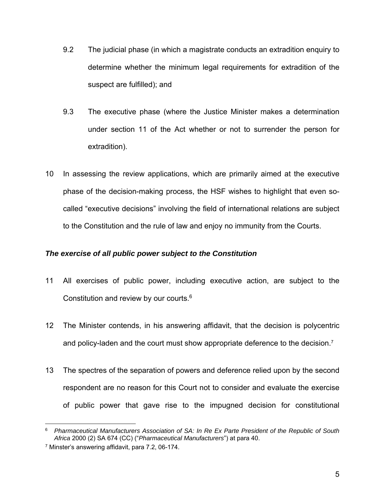- 9.2 The judicial phase (in which a magistrate conducts an extradition enquiry to determine whether the minimum legal requirements for extradition of the suspect are fulfilled); and
- 9.3 The executive phase (where the Justice Minister makes a determination under section 11 of the Act whether or not to surrender the person for extradition).
- 10 In assessing the review applications, which are primarily aimed at the executive phase of the decision-making process, the HSF wishes to highlight that even socalled "executive decisions" involving the field of international relations are subject to the Constitution and the rule of law and enjoy no immunity from the Courts.

### *The exercise of all public power subject to the Constitution*

- 11 All exercises of public power, including executive action, are subject to the Constitution and review by our courts.6
- 12 The Minister contends, in his answering affidavit, that the decision is polycentric and policy-laden and the court must show appropriate deference to the decision.<sup>7</sup>
- 13 The spectres of the separation of powers and deference relied upon by the second respondent are no reason for this Court not to consider and evaluate the exercise of public power that gave rise to the impugned decision for constitutional

<sup>6</sup> *Pharmaceutical Manufacturers Association of SA: In Re Ex Parte President of the Republic of South Africa* 2000 (2) SA 674 (CC) ("*Pharmaceutical Manufacturers*") at para 40.

<sup>7</sup> Minster's answering affidavit, para 7.2, 06-174.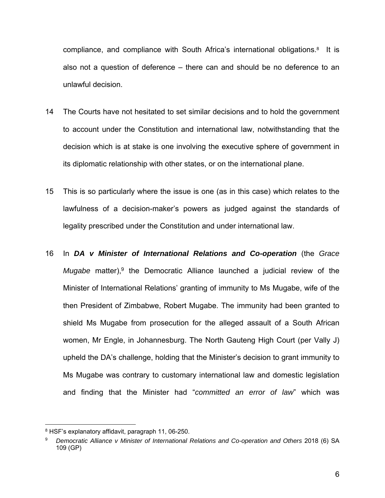compliance, and compliance with South Africa's international obligations.8 It is also not a question of deference – there can and should be no deference to an unlawful decision.

- 14 The Courts have not hesitated to set similar decisions and to hold the government to account under the Constitution and international law, notwithstanding that the decision which is at stake is one involving the executive sphere of government in its diplomatic relationship with other states, or on the international plane.
- 15 This is so particularly where the issue is one (as in this case) which relates to the lawfulness of a decision-maker's powers as judged against the standards of legality prescribed under the Constitution and under international law.
- 16 In *DA v Minister of International Relations and Co-operation* (the *Grace Mugabe* matter),<sup>9</sup> the Democratic Alliance launched a judicial review of the Minister of International Relations' granting of immunity to Ms Mugabe, wife of the then President of Zimbabwe, Robert Mugabe. The immunity had been granted to shield Ms Mugabe from prosecution for the alleged assault of a South African women, Mr Engle, in Johannesburg. The North Gauteng High Court (per Vally J) upheld the DA's challenge, holding that the Minister's decision to grant immunity to Ms Mugabe was contrary to customary international law and domestic legislation and finding that the Minister had "*committed an error of law*" which was

<sup>8</sup> HSF's explanatory affidavit, paragraph 11, 06-250.

<sup>9</sup> *Democratic Alliance v Minister of International Relations and Co-operation and Others* 2018 (6) SA 109 (GP)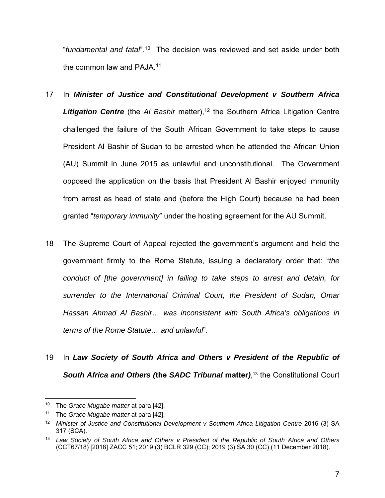"*fundamental and fatal*".10 The decision was reviewed and set aside under both the common law and PAJA.<sup>11</sup>

- 17 In *Minister of Justice and Constitutional Development v Southern Africa*  **Litigation Centre** (the *AI Bashir* matter),<sup>12</sup> the Southern Africa Litigation Centre challenged the failure of the South African Government to take steps to cause President Al Bashir of Sudan to be arrested when he attended the African Union (AU) Summit in June 2015 as unlawful and unconstitutional. The Government opposed the application on the basis that President Al Bashir enjoyed immunity from arrest as head of state and (before the High Court) because he had been granted "*temporary immunity*" under the hosting agreement for the AU Summit.
- 18 The Supreme Court of Appeal rejected the government's argument and held the government firmly to the Rome Statute, issuing a declaratory order that: "*the conduct of [the government] in failing to take steps to arrest and detain, for surrender to the International Criminal Court, the President of Sudan, Omar Hassan Ahmad Al Bashir… was inconsistent with South Africa's obligations in terms of the Rome Statute… and unlawful*".
- 19 In *Law Society of South Africa and Others v President of the Republic of South Africa and Others (***the** *SADC Tribunal* **matter***)*, 13 the Constitutional Court

<sup>10</sup> The *Grace Mugabe matter* at para [42].

<sup>11</sup> The *Grace Mugabe matter* at para [42].

<sup>&</sup>lt;sup>12</sup> Minister of Justice and Constitutional Development v Southern Africa Litigation Centre 2016 (3) SA 317 (SCA).

<sup>13</sup> *Law Society of South Africa and Others v President of the Republic of South Africa and Others* (CCT67/18) [2018] ZACC 51; 2019 (3) BCLR 329 (CC); 2019 (3) SA 30 (CC) (11 December 2018).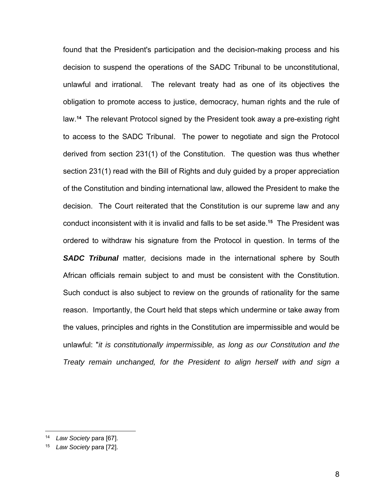found that the President's participation and the decision-making process and his decision to suspend the operations of the SADC Tribunal to be unconstitutional, unlawful and irrational. The relevant treaty had as one of its objectives the obligation to promote access to justice, democracy, human rights and the rule of law.**14** The relevant Protocol signed by the President took away a pre-existing right to access to the SADC Tribunal. The power to negotiate and sign the Protocol derived from section 231(1) of the Constitution. The question was thus whether section 231(1) read with the Bill of Rights and duly guided by a proper appreciation of the Constitution and binding international law, allowed the President to make the decision. The Court reiterated that the Constitution is our supreme law and any conduct inconsistent with it is invalid and falls to be set aside.**15** The President was ordered to withdraw his signature from the Protocol in question. In terms of the *SADC Tribunal* matter*,* decisions made in the international sphere by South African officials remain subject to and must be consistent with the Constitution. Such conduct is also subject to review on the grounds of rationality for the same reason. Importantly, the Court held that steps which undermine or take away from the values, principles and rights in the Constitution are impermissible and would be unlawful: "*it is constitutionally impermissible, as long as our Constitution and the Treaty remain unchanged, for the President to align herself with and sign a* 

Law Society para [67].

<sup>15</sup> *Law Society* para [72].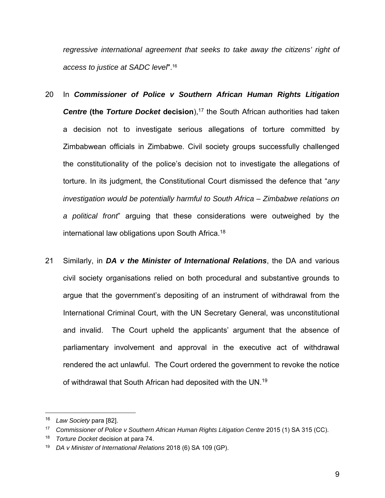*regressive international agreement that seeks to take away the citizens' right of access to justice at SADC level*".16

- 20 In *Commissioner of Police v Southern African Human Rights Litigation*  **Centre (the Torture Docket decision),<sup>17</sup> the South African authorities had taken** a decision not to investigate serious allegations of torture committed by Zimbabwean officials in Zimbabwe. Civil society groups successfully challenged the constitutionality of the police's decision not to investigate the allegations of torture. In its judgment, the Constitutional Court dismissed the defence that "*any investigation would be potentially harmful to South Africa – Zimbabwe relations on a political front*" arguing that these considerations were outweighed by the international law obligations upon South Africa.<sup>18</sup>
- 21 Similarly, in *DA v the Minister of International Relations*, the DA and various civil society organisations relied on both procedural and substantive grounds to argue that the government's depositing of an instrument of withdrawal from the International Criminal Court, with the UN Secretary General, was unconstitutional and invalid. The Court upheld the applicants' argument that the absence of parliamentary involvement and approval in the executive act of withdrawal rendered the act unlawful. The Court ordered the government to revoke the notice of withdrawal that South African had deposited with the UN.19

<sup>16</sup> *Law Society* para [82].

<sup>&</sup>lt;sup>17</sup> Commissioner of Police v Southern African Human Rights Litigation Centre 2015 (1) SA 315 (CC).

<sup>18</sup> *Torture Docket* decision at para 74.

<sup>19</sup> *DA v Minister of International Relations* 2018 (6) SA 109 (GP).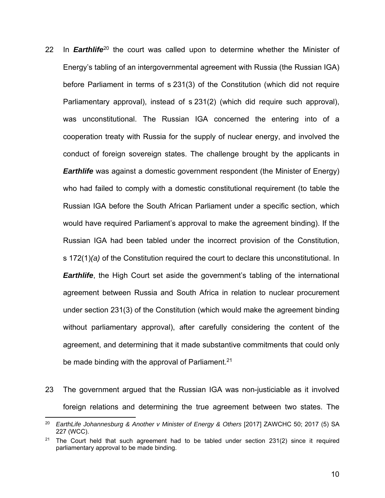- 22 In *Earthlife*<sup>20</sup> the court was called upon to determine whether the Minister of Energy's tabling of an intergovernmental agreement with Russia (the Russian IGA) before Parliament in terms of s 231(3) of the Constitution (which did not require Parliamentary approval), instead of s 231(2) (which did require such approval), was unconstitutional. The Russian IGA concerned the entering into of a cooperation treaty with Russia for the supply of nuclear energy, and involved the conduct of foreign sovereign states. The challenge brought by the applicants in *Earthlife* was against a domestic government respondent (the Minister of Energy) who had failed to comply with a domestic constitutional requirement (to table the Russian IGA before the South African Parliament under a specific section, which would have required Parliament's approval to make the agreement binding). If the Russian IGA had been tabled under the incorrect provision of the Constitution, s 172(1)*(a)* of the Constitution required the court to declare this unconstitutional. In *Earthlife*, the High Court set aside the government's tabling of the international agreement between Russia and South Africa in relation to nuclear procurement under section 231(3) of the Constitution (which would make the agreement binding without parliamentary approval), after carefully considering the content of the agreement, and determining that it made substantive commitments that could only be made binding with the approval of Parliament.<sup>21</sup>
- 23 The government argued that the Russian IGA was non-justiciable as it involved foreign relations and determining the true agreement between two states. The

<sup>&</sup>lt;sup>20</sup> *EarthLife Johannesburg & Another v Minister of Energy & Others* [2017] ZAWCHC 50; 2017 (5) SA 227 (WCC).

The Court held that such agreement had to be tabled under section 231(2) since it required parliamentary approval to be made binding.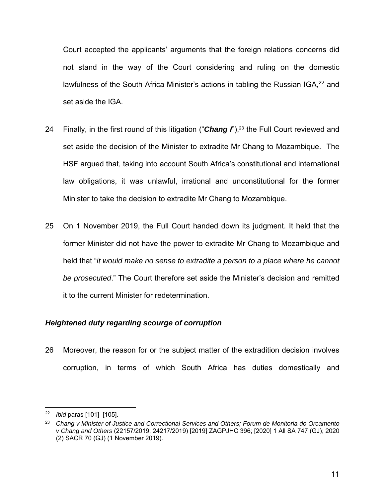Court accepted the applicants' arguments that the foreign relations concerns did not stand in the way of the Court considering and ruling on the domestic lawfulness of the South Africa Minister's actions in tabling the Russian IGA,<sup>22</sup> and set aside the IGA.

- 24 Finally, in the first round of this litigation ("**Chang I**"),<sup>23</sup> the Full Court reviewed and set aside the decision of the Minister to extradite Mr Chang to Mozambique. The HSF argued that, taking into account South Africa's constitutional and international law obligations, it was unlawful, irrational and unconstitutional for the former Minister to take the decision to extradite Mr Chang to Mozambique.
- 25 On 1 November 2019, the Full Court handed down its judgment. It held that the former Minister did not have the power to extradite Mr Chang to Mozambique and held that "*it would make no sense to extradite a person to a place where he cannot be prosecuted*." The Court therefore set aside the Minister's decision and remitted it to the current Minister for redetermination.

### *Heightened duty regarding scourge of corruption*

26 Moreover, the reason for or the subject matter of the extradition decision involves corruption, in terms of which South Africa has duties domestically and

<sup>22</sup> *Ibid* paras [101]–[105].

<sup>23</sup> *Chang v Minister of Justice and Correctional Services and Others; Forum de Monitoria do Orcamento v Chang and Others* (22157/2019; 24217/2019) [2019] ZAGPJHC 396; [2020] 1 All SA 747 (GJ); 2020 (2) SACR 70 (GJ) (1 November 2019).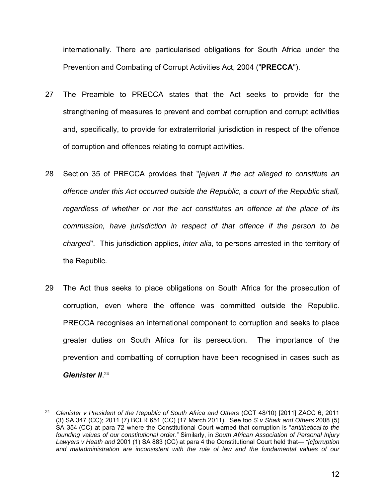internationally. There are particularised obligations for South Africa under the Prevention and Combating of Corrupt Activities Act, 2004 ("**PRECCA**").

- 27 The Preamble to PRECCA states that the Act seeks to provide for the strengthening of measures to prevent and combat corruption and corrupt activities and, specifically, to provide for extraterritorial jurisdiction in respect of the offence of corruption and offences relating to corrupt activities.
- 28 Section 35 of PRECCA provides that "*[e]ven if the act alleged to constitute an offence under this Act occurred outside the Republic, a court of the Republic shall, regardless of whether or not the act constitutes an offence at the place of its commission, have jurisdiction in respect of that offence if the person to be charged*". This jurisdiction applies, *inter alia*, to persons arrested in the territory of the Republic.
- 29 The Act thus seeks to place obligations on South Africa for the prosecution of corruption, even where the offence was committed outside the Republic. PRECCA recognises an international component to corruption and seeks to place greater duties on South Africa for its persecution. The importance of the prevention and combatting of corruption have been recognised in cases such as *Glenister II*. 24

<sup>24</sup> *Glenister v President of the Republic of South Africa and Others* (CCT 48/10) [2011] ZACC 6; 2011 (3) SA 347 (CC); 2011 (7) BCLR 651 (CC) (17 March 2011). See too *S v Shaik and Others* 2008 (5) SA 354 (CC) at para 72 where the Constitutional Court warned that corruption is "*antithetical to the founding values of our constitutional order*." Similarly, in *South African Association of Personal Injury Lawyers v Heath and* 2001 (1) SA 883 (CC) at para 4 the Constitutional Court held that— *"[c]orruption and maladministration are inconsistent with the rule of law and the fundamental values of our*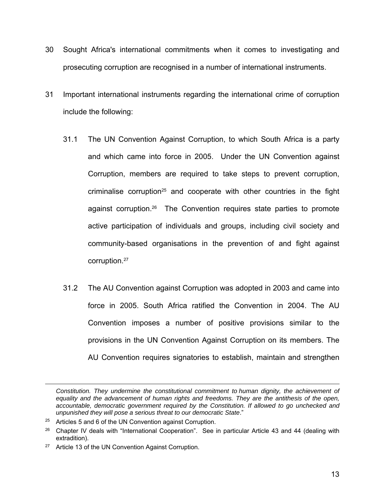- 30 Sought Africa's international commitments when it comes to investigating and prosecuting corruption are recognised in a number of international instruments.
- 31 Important international instruments regarding the international crime of corruption include the following:
	- 31.1 The UN Convention Against Corruption, to which South Africa is a party and which came into force in 2005. Under the UN Convention against Corruption, members are required to take steps to prevent corruption, criminalise corruption<sup>25</sup> and cooperate with other countries in the fight against corruption.26 The Convention requires state parties to promote active participation of individuals and groups, including civil society and community-based organisations in the prevention of and fight against corruption.27
	- 31.2 The AU Convention against Corruption was adopted in 2003 and came into force in 2005. South Africa ratified the Convention in 2004. The AU Convention imposes a number of positive provisions similar to the provisions in the UN Convention Against Corruption on its members. The AU Convention requires signatories to establish, maintain and strengthen

*Constitution. They undermine the constitutional commitment to human dignity, the achievement of equality and the advancement of human rights and freedoms. They are the antithesis of the open, accountable, democratic government required by the Constitution. If allowed to go unchecked and unpunished they will pose a serious threat to our democratic State*."

 $25$  Articles 5 and 6 of the UN Convention against Corruption.

 $26$  Chapter IV deals with "International Cooperation". See in particular Article 43 and 44 (dealing with extradition).

<sup>&</sup>lt;sup>27</sup> Article 13 of the UN Convention Against Corruption.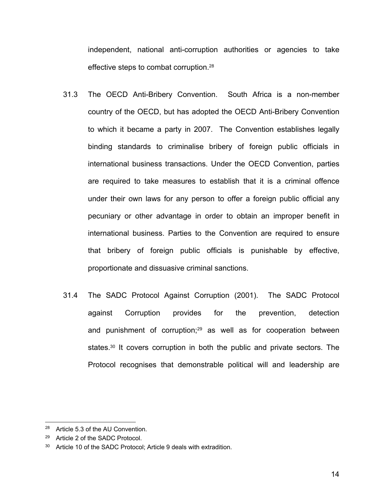independent, national anti-corruption authorities or agencies to take effective steps to combat corruption.28

- 31.3 The OECD Anti-Bribery Convention. South Africa is a non-member country of the OECD, but has adopted the OECD Anti-Bribery Convention to which it became a party in 2007. The Convention establishes legally binding standards to criminalise bribery of foreign public officials in international business transactions. Under the OECD Convention, parties are required to take measures to establish that it is a criminal offence under their own laws for any person to offer a foreign public official any pecuniary or other advantage in order to obtain an improper benefit in international business. Parties to the Convention are required to ensure that bribery of foreign public officials is punishable by effective, proportionate and dissuasive criminal sanctions.
- 31.4 The SADC Protocol Against Corruption (2001). The SADC Protocol against Corruption provides for the prevention, detection and punishment of corruption;<sup>29</sup> as well as for cooperation between states.<sup>30</sup> It covers corruption in both the public and private sectors. The Protocol recognises that demonstrable political will and leadership are

<sup>&</sup>lt;sup>28</sup> Article 5.3 of the AU Convention.

<sup>29</sup> Article 2 of the SADC Protocol.

<sup>&</sup>lt;sup>30</sup> Article 10 of the SADC Protocol: Article 9 deals with extradition.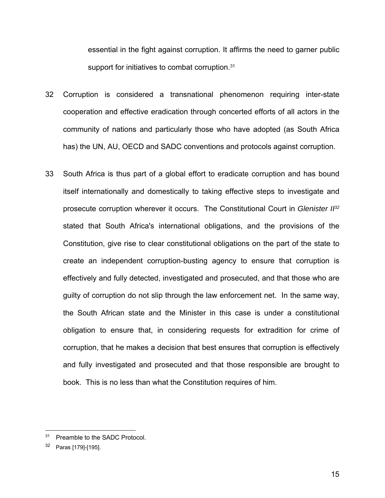essential in the fight against corruption. It affirms the need to garner public support for initiatives to combat corruption.<sup>31</sup>

- 32 Corruption is considered a transnational phenomenon requiring inter-state cooperation and effective eradication through concerted efforts of all actors in the community of nations and particularly those who have adopted (as South Africa has) the UN, AU, OECD and SADC conventions and protocols against corruption.
- 33 South Africa is thus part of a global effort to eradicate corruption and has bound itself internationally and domestically to taking effective steps to investigate and prosecute corruption wherever it occurs. The Constitutional Court in *Glenister II32* stated that South Africa's international obligations, and the provisions of the Constitution, give rise to clear constitutional obligations on the part of the state to create an independent corruption-busting agency to ensure that corruption is effectively and fully detected, investigated and prosecuted, and that those who are guilty of corruption do not slip through the law enforcement net. In the same way, the South African state and the Minister in this case is under a constitutional obligation to ensure that, in considering requests for extradition for crime of corruption, that he makes a decision that best ensures that corruption is effectively and fully investigated and prosecuted and that those responsible are brought to book. This is no less than what the Constitution requires of him.

<sup>&</sup>lt;sup>31</sup> Preamble to the SADC Protocol.

<sup>32</sup> Paras [179]-[195].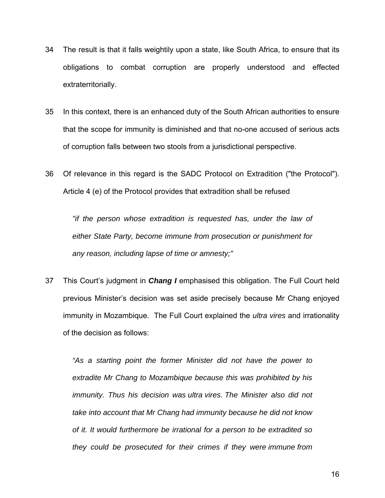- 34 The result is that it falls weightily upon a state, like South Africa, to ensure that its obligations to combat corruption are properly understood and effected extraterritorially.
- 35 In this context, there is an enhanced duty of the South African authorities to ensure that the scope for immunity is diminished and that no-one accused of serious acts of corruption falls between two stools from a jurisdictional perspective.
- 36 Of relevance in this regard is the SADC Protocol on Extradition ("the Protocol"). Article 4 (e) of the Protocol provides that extradition shall be refused

*"if the person whose extradition is requested has, under the law of either State Party, become immune from prosecution or punishment for any reason, including lapse of time or amnesty;"*

37 This Court's judgment in *Chang I* emphasised this obligation. The Full Court held previous Minister's decision was set aside precisely because Mr Chang enjoyed immunity in Mozambique. The Full Court explained the *ultra vires* and irrationality of the decision as follows:

*"As a starting point the former Minister did not have the power to extradite Mr Chang to Mozambique because this was prohibited by his immunity. Thus his decision was ultra vires. The Minister also did not take into account that Mr Chang had immunity because he did not know of it. It would furthermore be irrational for a person to be extradited so they could be prosecuted for their crimes if they were immune from*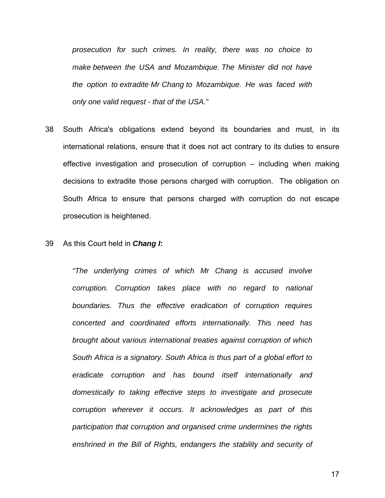*prosecution for such crimes. In reality, there was no choice to make between the USA and Mozambique. The Minister did not have the option to extradite Mr Chang to Mozambique. He was faced with only one valid request - that of the USA."* 

- 38 South Africa's obligations extend beyond its boundaries and must, in its international relations, ensure that it does not act contrary to its duties to ensure effective investigation and prosecution of corruption – including when making decisions to extradite those persons charged with corruption. The obligation on South Africa to ensure that persons charged with corruption do not escape prosecution is heightened.
- 39 As this Court held in *Chang I***:**

*"The underlying crimes of which Mr Chang is accused involve corruption. Corruption takes place with no regard to national boundaries. Thus the effective eradication of corruption requires concerted and coordinated efforts internationally. This need has brought about various international treaties against corruption of which South Africa is a signatory. South Africa is thus part of a global effort to eradicate corruption and has bound itself internationally and domestically to taking effective steps to investigate and prosecute corruption wherever it occurs. It acknowledges as part of this participation that corruption and organised crime undermines the rights enshrined in the Bill of Rights, endangers the stability and security of* 

17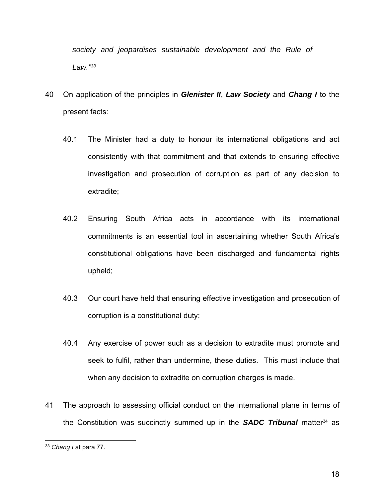*society and jeopardises sustainable development and the Rule of Law."33*

- 40 On application of the principles in *Glenister II*, *Law Society* and *Chang I* to the present facts:
	- 40.1 The Minister had a duty to honour its international obligations and act consistently with that commitment and that extends to ensuring effective investigation and prosecution of corruption as part of any decision to extradite;
	- 40.2 Ensuring South Africa acts in accordance with its international commitments is an essential tool in ascertaining whether South Africa's constitutional obligations have been discharged and fundamental rights upheld;
	- 40.3 Our court have held that ensuring effective investigation and prosecution of corruption is a constitutional duty;
	- 40.4 Any exercise of power such as a decision to extradite must promote and seek to fulfil, rather than undermine, these duties. This must include that when any decision to extradite on corruption charges is made.
- 41 The approach to assessing official conduct on the international plane in terms of the Constitution was succinctly summed up in the **SADC Tribunal** matter<sup>34</sup> as

<sup>33</sup> *Chang I* at para 77.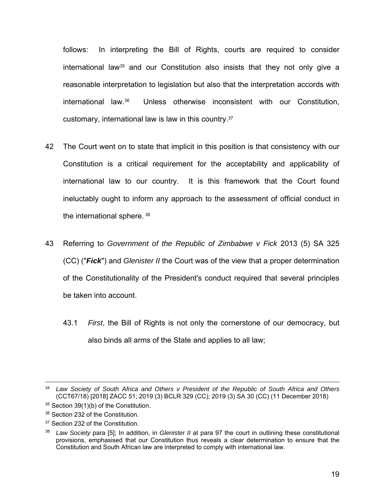follows: In interpreting the Bill of Rights, courts are required to consider international law<sup>35</sup> and our Constitution also insists that they not only give a reasonable interpretation to legislation but also that the interpretation accords with international law.36 Unless otherwise inconsistent with our Constitution, customary, international law is law in this country.37

- 42 The Court went on to state that implicit in this position is that consistency with our Constitution is a critical requirement for the acceptability and applicability of international law to our country. It is this framework that the Court found ineluctably ought to inform any approach to the assessment of official conduct in the international sphere. 38
- 43 Referring to *Government of the Republic of Zimbabwe v Fick* 2013 (5) SA 325 (CC) ("*Fick*") and *Glenister II* the Court was of the view that a proper determination of the Constitutionality of the President's conduct required that several principles be taken into account.
	- 43.1 *First*, the Bill of Rights is not only the cornerstone of our democracy, but also binds all arms of the State and applies to all law;

<sup>34</sup> *Law Society of South Africa and Others v President of the Republic of South Africa and Others* (CCT67/18) [2018] ZACC 51; 2019 (3) BCLR 329 (CC); 2019 (3) SA 30 (CC) (11 December 2018)

<sup>&</sup>lt;sup>35</sup> Section 39(1)(b) of the Constitution.

<sup>36</sup> Section 232 of the Constitution.

<sup>&</sup>lt;sup>37</sup> Section 232 of the Constitution.

Law Society para [5]; In addition, in *Glenister II* at para 97 the court in outlining these constitutional provisions, emphasised that our Constitution thus reveals a clear determination to ensure that the Constitution and South African law are interpreted to comply with international law.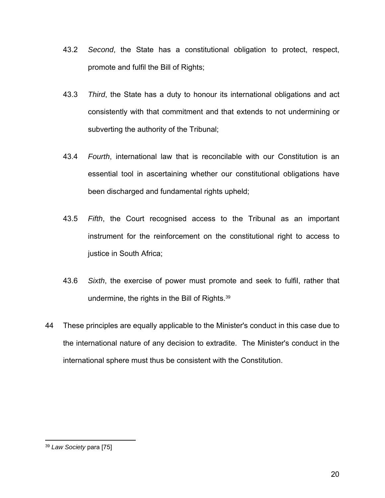- 43.2 *Second*, the State has a constitutional obligation to protect, respect, promote and fulfil the Bill of Rights;
- 43.3 *Third*, the State has a duty to honour its international obligations and act consistently with that commitment and that extends to not undermining or subverting the authority of the Tribunal;
- 43.4 *Fourth*, international law that is reconcilable with our Constitution is an essential tool in ascertaining whether our constitutional obligations have been discharged and fundamental rights upheld;
- 43.5 *Fifth*, the Court recognised access to the Tribunal as an important instrument for the reinforcement on the constitutional right to access to justice in South Africa;
- 43.6 *Sixth*, the exercise of power must promote and seek to fulfil, rather that undermine, the rights in the Bill of Rights.39
- 44 These principles are equally applicable to the Minister's conduct in this case due to the international nature of any decision to extradite. The Minister's conduct in the international sphere must thus be consistent with the Constitution.

<sup>39</sup> *Law Society* para [75]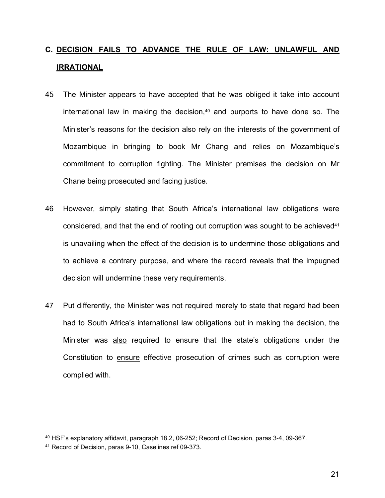# **C. DECISION FAILS TO ADVANCE THE RULE OF LAW: UNLAWFUL AND IRRATIONAL**

- 45 The Minister appears to have accepted that he was obliged it take into account international law in making the decision, $40$  and purports to have done so. The Minister's reasons for the decision also rely on the interests of the government of Mozambique in bringing to book Mr Chang and relies on Mozambique's commitment to corruption fighting. The Minister premises the decision on Mr Chane being prosecuted and facing justice.
- 46 However, simply stating that South Africa's international law obligations were considered, and that the end of rooting out corruption was sought to be achieved $41$ is unavailing when the effect of the decision is to undermine those obligations and to achieve a contrary purpose, and where the record reveals that the impugned decision will undermine these very requirements.
- 47 Put differently, the Minister was not required merely to state that regard had been had to South Africa's international law obligations but in making the decision, the Minister was also required to ensure that the state's obligations under the Constitution to ensure effective prosecution of crimes such as corruption were complied with.

<sup>40</sup> HSF's explanatory affidavit, paragraph 18.2, 06-252; Record of Decision, paras 3-4, 09-367.

<sup>41</sup> Record of Decision, paras 9-10, Caselines ref 09-373.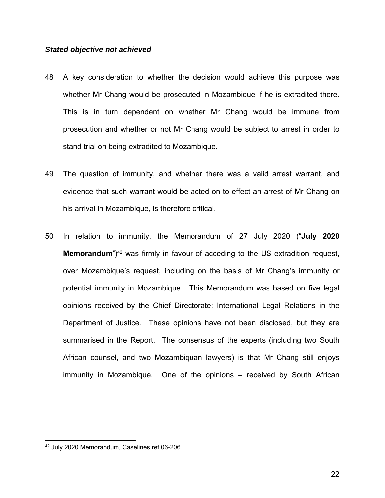#### *Stated objective not achieved*

- 48 A key consideration to whether the decision would achieve this purpose was whether Mr Chang would be prosecuted in Mozambique if he is extradited there. This is in turn dependent on whether Mr Chang would be immune from prosecution and whether or not Mr Chang would be subject to arrest in order to stand trial on being extradited to Mozambique.
- 49 The question of immunity, and whether there was a valid arrest warrant, and evidence that such warrant would be acted on to effect an arrest of Mr Chang on his arrival in Mozambique, is therefore critical.
- 50 In relation to immunity, the Memorandum of 27 July 2020 ("**July 2020 Memorandum**")<sup>42</sup> was firmly in favour of acceding to the US extradition request, over Mozambique's request, including on the basis of Mr Chang's immunity or potential immunity in Mozambique. This Memorandum was based on five legal opinions received by the Chief Directorate: International Legal Relations in the Department of Justice. These opinions have not been disclosed, but they are summarised in the Report. The consensus of the experts (including two South African counsel, and two Mozambiquan lawyers) is that Mr Chang still enjoys immunity in Mozambique. One of the opinions – received by South African

<sup>42</sup> July 2020 Memorandum, Caselines ref 06-206.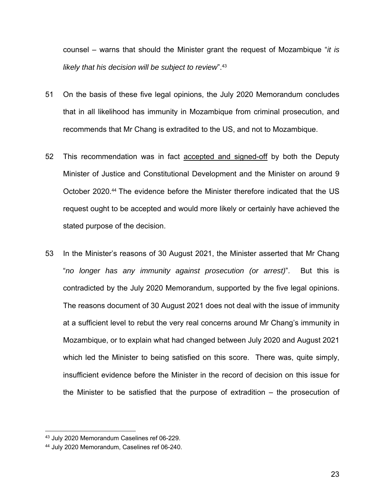counsel – warns that should the Minister grant the request of Mozambique "*it is likely that his decision will be subject to review*".43

- 51 On the basis of these five legal opinions, the July 2020 Memorandum concludes that in all likelihood has immunity in Mozambique from criminal prosecution, and recommends that Mr Chang is extradited to the US, and not to Mozambique.
- 52 This recommendation was in fact accepted and signed-off by both the Deputy Minister of Justice and Constitutional Development and the Minister on around 9 October 2020.44 The evidence before the Minister therefore indicated that the US request ought to be accepted and would more likely or certainly have achieved the stated purpose of the decision.
- 53 In the Minister's reasons of 30 August 2021, the Minister asserted that Mr Chang "*no longer has any immunity against prosecution (or arrest)*". But this is contradicted by the July 2020 Memorandum, supported by the five legal opinions. The reasons document of 30 August 2021 does not deal with the issue of immunity at a sufficient level to rebut the very real concerns around Mr Chang's immunity in Mozambique, or to explain what had changed between July 2020 and August 2021 which led the Minister to being satisfied on this score. There was, quite simply, insufficient evidence before the Minister in the record of decision on this issue for the Minister to be satisfied that the purpose of extradition – the prosecution of

<sup>43</sup> July 2020 Memorandum Caselines ref 06-229.

<sup>44</sup> July 2020 Memorandum, Caselines ref 06-240.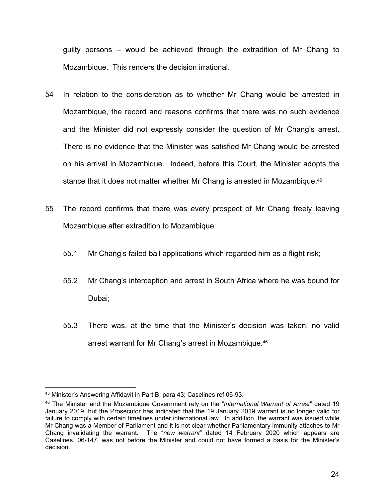guilty persons – would be achieved through the extradition of Mr Chang to Mozambique. This renders the decision irrational.

- 54 In relation to the consideration as to whether Mr Chang would be arrested in Mozambique, the record and reasons confirms that there was no such evidence and the Minister did not expressly consider the question of Mr Chang's arrest. There is no evidence that the Minister was satisfied Mr Chang would be arrested on his arrival in Mozambique. Indeed, before this Court, the Minister adopts the stance that it does not matter whether Mr Chang is arrested in Mozambique.45
- 55 The record confirms that there was every prospect of Mr Chang freely leaving Mozambique after extradition to Mozambique:
	- 55.1 Mr Chang's failed bail applications which regarded him as a flight risk;
	- 55.2 Mr Chang's interception and arrest in South Africa where he was bound for Dubai;
	- 55.3 There was, at the time that the Minister's decision was taken, no valid arrest warrant for Mr Chang's arrest in Mozambique.<sup>46</sup>

<sup>45</sup> Minister's Answering Affidavit in Part B, para 43; Caselines ref 06-93.

<sup>46</sup> The Minister and the Mozambique Government rely on the "*International Warrant of Arrest*" dated 19 January 2019, but the Prosecutor has indicated that the 19 January 2019 warrant is no longer valid for failure to comply with certain timelines under international law. In addition, the warrant was issued while Mr Chang was a Member of Parliament and it is not clear whether Parliamentary immunity attaches to Mr Chang invalidating the warrant. The "*new warrant*" dated 14 February 2020 which appears are Caselines, 06-147, was not before the Minister and could not have formed a basis for the Minister's decision.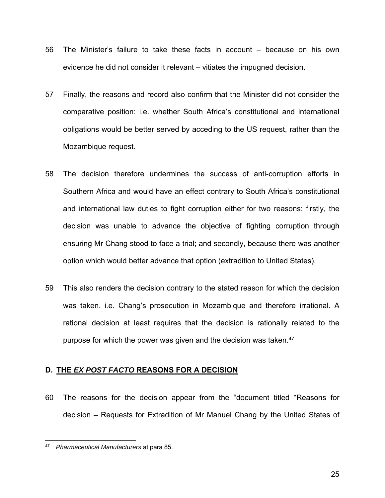- 56 The Minister's failure to take these facts in account because on his own evidence he did not consider it relevant – vitiates the impugned decision.
- 57 Finally, the reasons and record also confirm that the Minister did not consider the comparative position: i.e. whether South Africa's constitutional and international obligations would be better served by acceding to the US request, rather than the Mozambique request.
- 58 The decision therefore undermines the success of anti-corruption efforts in Southern Africa and would have an effect contrary to South Africa's constitutional and international law duties to fight corruption either for two reasons: firstly, the decision was unable to advance the objective of fighting corruption through ensuring Mr Chang stood to face a trial; and secondly, because there was another option which would better advance that option (extradition to United States).
- 59 This also renders the decision contrary to the stated reason for which the decision was taken. i.e. Chang's prosecution in Mozambique and therefore irrational. A rational decision at least requires that the decision is rationally related to the purpose for which the power was given and the decision was taken.<sup>47</sup>

### **D. THE** *EX POST FACTO* **REASONS FOR A DECISION**

60 The reasons for the decision appear from the "document titled "Reasons for decision – Requests for Extradition of Mr Manuel Chang by the United States of

<sup>47</sup> *Pharmaceutical Manufacturers* at para 85.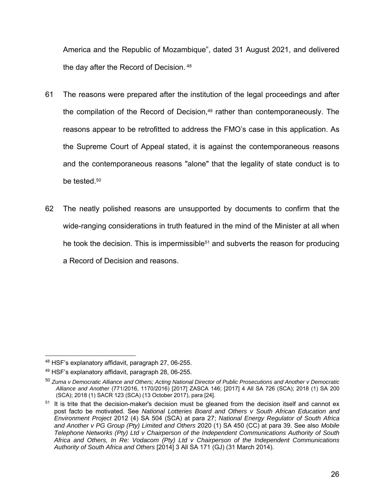America and the Republic of Mozambique", dated 31 August 2021, and delivered the day after the Record of Decision. 48

- 61 The reasons were prepared after the institution of the legal proceedings and after the compilation of the Record of Decision,<sup>49</sup> rather than contemporaneously. The reasons appear to be retrofitted to address the FMO's case in this application. As the Supreme Court of Appeal stated, it is against the contemporaneous reasons and the contemporaneous reasons "alone" that the legality of state conduct is to be tested.50
- 62 The neatly polished reasons are unsupported by documents to confirm that the wide-ranging considerations in truth featured in the mind of the Minister at all when he took the decision. This is impermissible<sup>51</sup> and subverts the reason for producing a Record of Decision and reasons.

<sup>48</sup> HSF's explanatory affidavit, paragraph 27, 06-255.

<sup>49</sup> HSF's explanatory affidavit, paragraph 28, 06-255.

<sup>50</sup> *Zuma v Democratic Alliance and Others; Acting National Director of Public Prosecutions and Another v Democratic Alliance and Another* (771/2016, 1170/2016) [2017] ZASCA 146; [2017] 4 All SA 726 (SCA); 2018 (1) SA 200 (SCA); 2018 (1) SACR 123 (SCA) (13 October 2017), para [24].

 $51$  It is trite that the decision-maker's decision must be gleaned from the decision itself and cannot ex post facto be motivated. See *National Lotteries Board and Others v South African Education and Environment Project* 2012 (4) SA 504 (SCA) at para 27; *National Energy Regulator of South Africa and Another v PG Group (Pty) Limited and Others* 2020 (1) SA 450 (CC) at para 39. See also *Mobile Telephone Networks (Pty) Ltd v Chairperson of the Independent Communications Authority of South Africa and Others, In Re: Vodacom (Pty) Ltd v Chairperson of the Independent Communications Authority of South Africa and Others* [2014] 3 All SA 171 (GJ) (31 March 2014).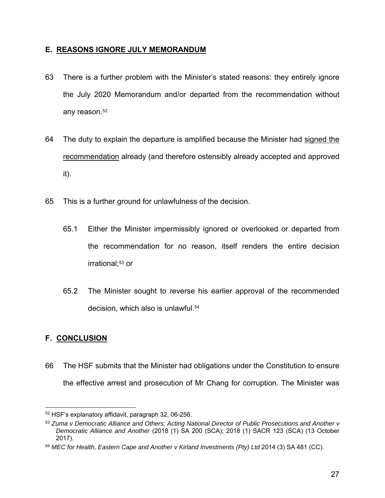### **E. REASONS IGNORE JULY MEMORANDUM**

- 63 There is a further problem with the Minister's stated reasons: they entirely ignore the July 2020 Memorandum and/or departed from the recommendation without any reason.<sup>52</sup>
- 64 The duty to explain the departure is amplified because the Minister had signed the recommendation already (and therefore ostensibly already accepted and approved it).
- 65 This is a further ground for unlawfulness of the decision.
	- 65.1 Either the Minister impermissibly ignored or overlooked or departed from the recommendation for no reason, itself renders the entire decision irrational:<sup>53</sup> or
	- 65.2 The Minister sought to reverse his earlier approval of the recommended decision, which also is unlawful.<sup>54</sup>

# **F. CONCLUSION**

66 The HSF submits that the Minister had obligations under the Constitution to ensure the effective arrest and prosecution of Mr Chang for corruption. The Minister was

<sup>52</sup> HSF's explanatory affidavit, paragraph 32, 06-256.

<sup>53</sup> *Zuma v Democratic Alliance and Others; Acting National Director of Public Prosecutions and Another v Democratic Alliance and Another* (2018 (1) SA 200 (SCA); 2018 (1) SACR 123 (SCA) (13 October 2017).

<sup>54</sup> *MEC for Health, Eastern Cape and Another v Kirland Investments (Pty) Ltd* 2014 (3) SA 481 (CC).